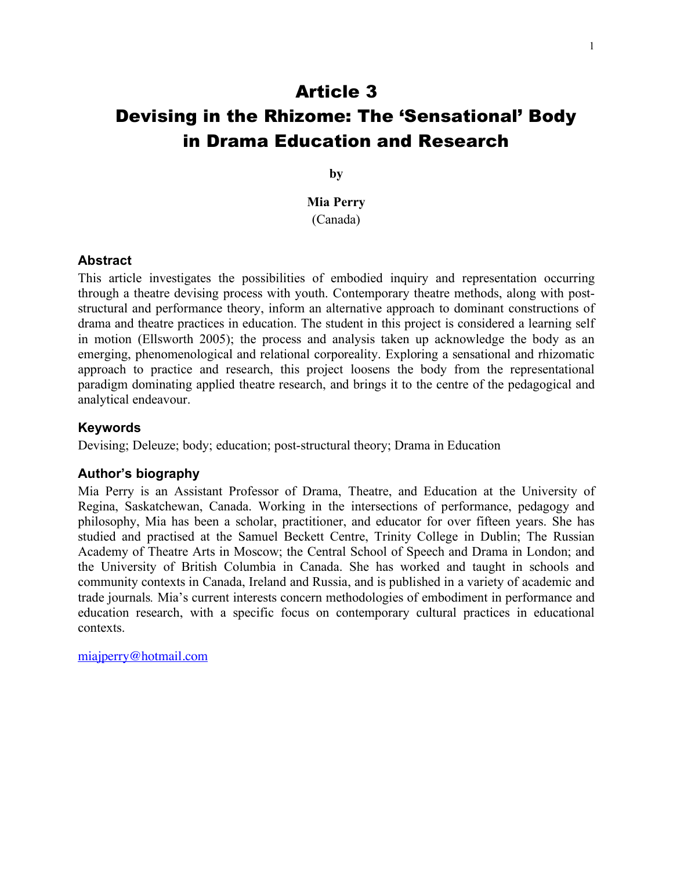# Article 3 Devising in the Rhizome: The 'Sensational' Body in Drama Education and Research

**by**

**Mia Perry** (Canada)

#### **Abstract**

This article investigates the possibilities of embodied inquiry and representation occurring through a theatre devising process with youth. Contemporary theatre methods, along with poststructural and performance theory, inform an alternative approach to dominant constructions of drama and theatre practices in education. The student in this project is considered a learning self in motion (Ellsworth 2005); the process and analysis taken up acknowledge the body as an emerging, phenomenological and relational corporeality. Exploring a sensational and rhizomatic approach to practice and research, this project loosens the body from the representational paradigm dominating applied theatre research, and brings it to the centre of the pedagogical and analytical endeavour.

#### **Keywords**

Devising; Deleuze; body; education; post-structural theory; Drama in Education

#### **Author's biography**

Mia Perry is an Assistant Professor of Drama, Theatre, and Education at the University of Regina, Saskatchewan, Canada. Working in the intersections of performance, pedagogy and philosophy, Mia has been a scholar, practitioner, and educator for over fifteen years. She has studied and practised at the Samuel Beckett Centre, Trinity College in Dublin; The Russian Academy of Theatre Arts in Moscow; the Central School of Speech and Drama in London; and the University of British Columbia in Canada. She has worked and taught in schools and community contexts in Canada, Ireland and Russia, and is published in a variety of academic and trade journals*.* Mia's current interests concern methodologies of embodiment in performance and education research, with a specific focus on contemporary cultural practices in educational contexts.

miajperry@hotmail.com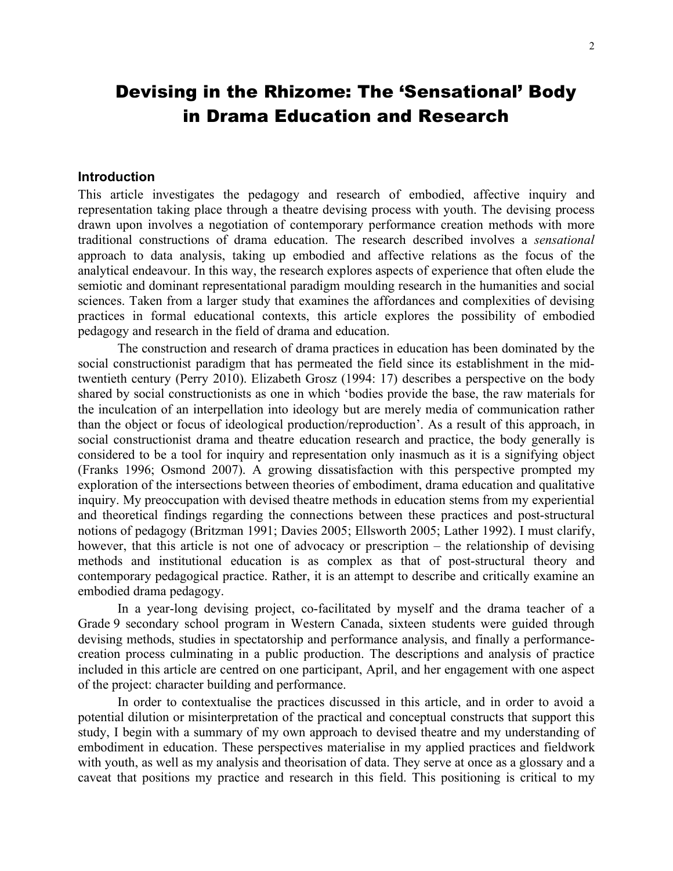# Devising in the Rhizome: The 'Sensational' Body in Drama Education and Research

#### **Introduction**

This article investigates the pedagogy and research of embodied, affective inquiry and representation taking place through a theatre devising process with youth. The devising process drawn upon involves a negotiation of contemporary performance creation methods with more traditional constructions of drama education. The research described involves a *sensational* approach to data analysis, taking up embodied and affective relations as the focus of the analytical endeavour. In this way, the research explores aspects of experience that often elude the semiotic and dominant representational paradigm moulding research in the humanities and social sciences. Taken from a larger study that examines the affordances and complexities of devising practices in formal educational contexts, this article explores the possibility of embodied pedagogy and research in the field of drama and education.

The construction and research of drama practices in education has been dominated by the social constructionist paradigm that has permeated the field since its establishment in the midtwentieth century (Perry 2010). Elizabeth Grosz (1994: 17) describes a perspective on the body shared by social constructionists as one in which 'bodies provide the base, the raw materials for the inculcation of an interpellation into ideology but are merely media of communication rather than the object or focus of ideological production/reproduction'. As a result of this approach, in social constructionist drama and theatre education research and practice, the body generally is considered to be a tool for inquiry and representation only inasmuch as it is a signifying object (Franks 1996; Osmond 2007). A growing dissatisfaction with this perspective prompted my exploration of the intersections between theories of embodiment, drama education and qualitative inquiry. My preoccupation with devised theatre methods in education stems from my experiential and theoretical findings regarding the connections between these practices and post-structural notions of pedagogy (Britzman 1991; Davies 2005; Ellsworth 2005; Lather 1992). I must clarify, however, that this article is not one of advocacy or prescription – the relationship of devising methods and institutional education is as complex as that of post-structural theory and contemporary pedagogical practice. Rather, it is an attempt to describe and critically examine an embodied drama pedagogy.

In a year-long devising project, co-facilitated by myself and the drama teacher of a Grade 9 secondary school program in Western Canada, sixteen students were guided through devising methods, studies in spectatorship and performance analysis, and finally a performancecreation process culminating in a public production. The descriptions and analysis of practice included in this article are centred on one participant, April, and her engagement with one aspect of the project: character building and performance.

In order to contextualise the practices discussed in this article, and in order to avoid a potential dilution or misinterpretation of the practical and conceptual constructs that support this study, I begin with a summary of my own approach to devised theatre and my understanding of embodiment in education. These perspectives materialise in my applied practices and fieldwork with youth, as well as my analysis and theorisation of data. They serve at once as a glossary and a caveat that positions my practice and research in this field. This positioning is critical to my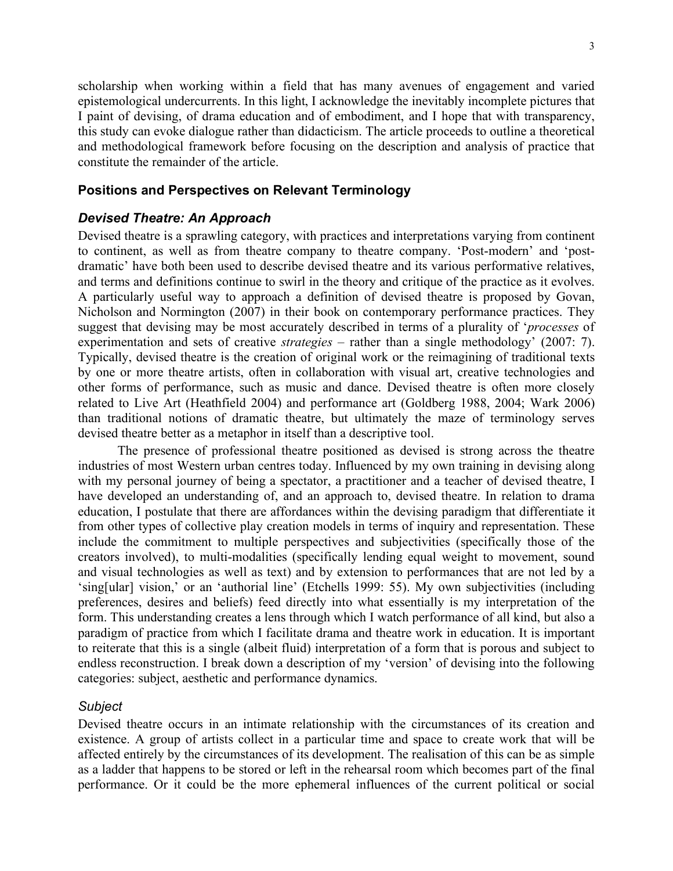scholarship when working within a field that has many avenues of engagement and varied epistemological undercurrents. In this light, I acknowledge the inevitably incomplete pictures that I paint of devising, of drama education and of embodiment, and I hope that with transparency, this study can evoke dialogue rather than didacticism. The article proceeds to outline a theoretical and methodological framework before focusing on the description and analysis of practice that constitute the remainder of the article.

# **Positions and Perspectives on Relevant Terminology**

# *Devised Theatre: An Approach*

Devised theatre is a sprawling category, with practices and interpretations varying from continent to continent, as well as from theatre company to theatre company. 'Post-modern' and 'postdramatic' have both been used to describe devised theatre and its various performative relatives, and terms and definitions continue to swirl in the theory and critique of the practice as it evolves. A particularly useful way to approach a definition of devised theatre is proposed by Govan, Nicholson and Normington (2007) in their book on contemporary performance practices. They suggest that devising may be most accurately described in terms of a plurality of '*processes* of experimentation and sets of creative *strategies* – rather than a single methodology' (2007: 7). Typically, devised theatre is the creation of original work or the reimagining of traditional texts by one or more theatre artists, often in collaboration with visual art, creative technologies and other forms of performance, such as music and dance. Devised theatre is often more closely related to Live Art (Heathfield 2004) and performance art (Goldberg 1988, 2004; Wark 2006) than traditional notions of dramatic theatre, but ultimately the maze of terminology serves devised theatre better as a metaphor in itself than a descriptive tool.

The presence of professional theatre positioned as devised is strong across the theatre industries of most Western urban centres today. Influenced by my own training in devising along with my personal journey of being a spectator, a practitioner and a teacher of devised theatre, I have developed an understanding of, and an approach to, devised theatre. In relation to drama education, I postulate that there are affordances within the devising paradigm that differentiate it from other types of collective play creation models in terms of inquiry and representation. These include the commitment to multiple perspectives and subjectivities (specifically those of the creators involved), to multi-modalities (specifically lending equal weight to movement, sound and visual technologies as well as text) and by extension to performances that are not led by a 'sing[ular] vision,' or an 'authorial line' (Etchells 1999: 55). My own subjectivities (including preferences, desires and beliefs) feed directly into what essentially is my interpretation of the form. This understanding creates a lens through which I watch performance of all kind, but also a paradigm of practice from which I facilitate drama and theatre work in education. It is important to reiterate that this is a single (albeit fluid) interpretation of a form that is porous and subject to endless reconstruction. I break down a description of my 'version' of devising into the following categories: subject, aesthetic and performance dynamics.

# *Subject*

Devised theatre occurs in an intimate relationship with the circumstances of its creation and existence. A group of artists collect in a particular time and space to create work that will be affected entirely by the circumstances of its development. The realisation of this can be as simple as a ladder that happens to be stored or left in the rehearsal room which becomes part of the final performance. Or it could be the more ephemeral influences of the current political or social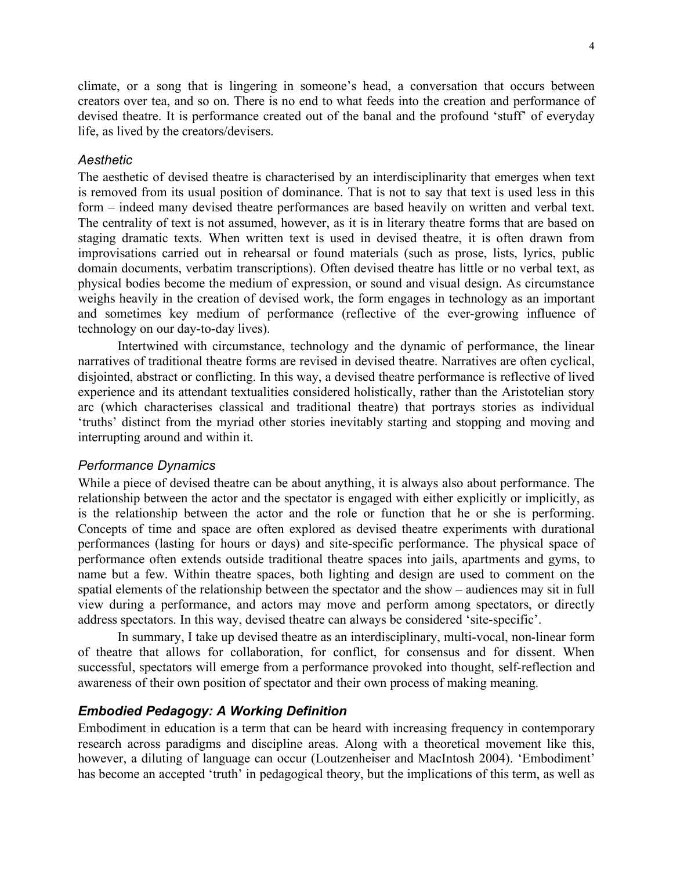climate, or a song that is lingering in someone's head, a conversation that occurs between creators over tea, and so on. There is no end to what feeds into the creation and performance of devised theatre. It is performance created out of the banal and the profound 'stuff' of everyday life, as lived by the creators/devisers.

## *Aesthetic*

The aesthetic of devised theatre is characterised by an interdisciplinarity that emerges when text is removed from its usual position of dominance. That is not to say that text is used less in this form – indeed many devised theatre performances are based heavily on written and verbal text. The centrality of text is not assumed, however, as it is in literary theatre forms that are based on staging dramatic texts. When written text is used in devised theatre, it is often drawn from improvisations carried out in rehearsal or found materials (such as prose, lists, lyrics, public domain documents, verbatim transcriptions). Often devised theatre has little or no verbal text, as physical bodies become the medium of expression, or sound and visual design. As circumstance weighs heavily in the creation of devised work, the form engages in technology as an important and sometimes key medium of performance (reflective of the ever-growing influence of technology on our day-to-day lives).

Intertwined with circumstance, technology and the dynamic of performance, the linear narratives of traditional theatre forms are revised in devised theatre. Narratives are often cyclical, disjointed, abstract or conflicting. In this way, a devised theatre performance is reflective of lived experience and its attendant textualities considered holistically, rather than the Aristotelian story arc (which characterises classical and traditional theatre) that portrays stories as individual 'truths' distinct from the myriad other stories inevitably starting and stopping and moving and interrupting around and within it.

#### *Performance Dynamics*

While a piece of devised theatre can be about anything, it is always also about performance. The relationship between the actor and the spectator is engaged with either explicitly or implicitly, as is the relationship between the actor and the role or function that he or she is performing. Concepts of time and space are often explored as devised theatre experiments with durational performances (lasting for hours or days) and site-specific performance. The physical space of performance often extends outside traditional theatre spaces into jails, apartments and gyms, to name but a few. Within theatre spaces, both lighting and design are used to comment on the spatial elements of the relationship between the spectator and the show – audiences may sit in full view during a performance, and actors may move and perform among spectators, or directly address spectators. In this way, devised theatre can always be considered 'site-specific'.

In summary, I take up devised theatre as an interdisciplinary, multi-vocal, non-linear form of theatre that allows for collaboration, for conflict, for consensus and for dissent. When successful, spectators will emerge from a performance provoked into thought, self-reflection and awareness of their own position of spectator and their own process of making meaning.

# *Embodied Pedagogy: A Working Definition*

Embodiment in education is a term that can be heard with increasing frequency in contemporary research across paradigms and discipline areas. Along with a theoretical movement like this, however, a diluting of language can occur (Loutzenheiser and MacIntosh 2004). 'Embodiment' has become an accepted 'truth' in pedagogical theory, but the implications of this term, as well as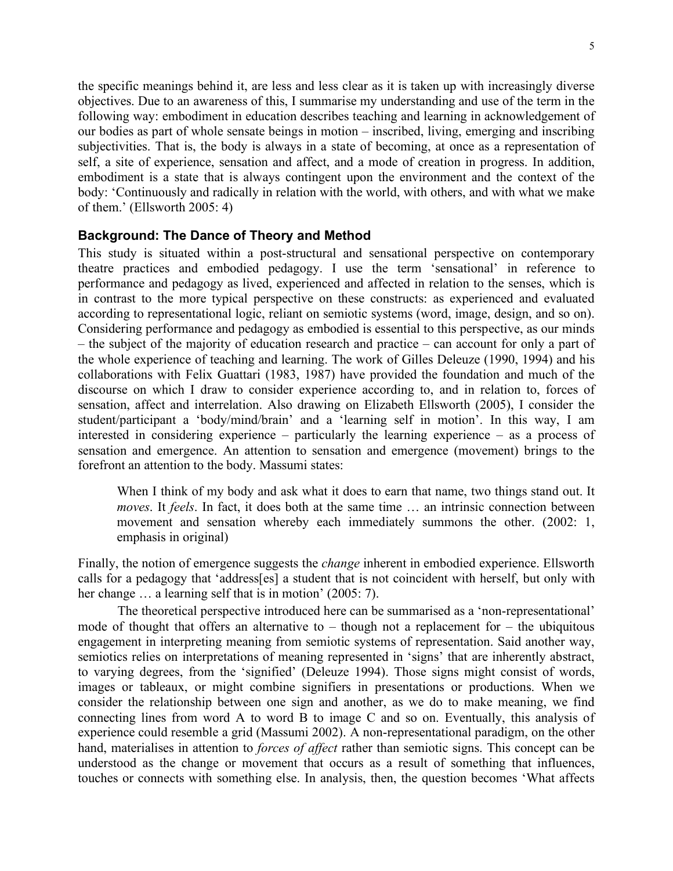the specific meanings behind it, are less and less clear as it is taken up with increasingly diverse objectives. Due to an awareness of this, I summarise my understanding and use of the term in the following way: embodiment in education describes teaching and learning in acknowledgement of our bodies as part of whole sensate beings in motion – inscribed, living, emerging and inscribing subjectivities. That is, the body is always in a state of becoming, at once as a representation of self, a site of experience, sensation and affect, and a mode of creation in progress. In addition, embodiment is a state that is always contingent upon the environment and the context of the body: 'Continuously and radically in relation with the world, with others, and with what we make of them.' (Ellsworth 2005: 4)

### **Background: The Dance of Theory and Method**

This study is situated within a post-structural and sensational perspective on contemporary theatre practices and embodied pedagogy. I use the term 'sensational' in reference to performance and pedagogy as lived, experienced and affected in relation to the senses, which is in contrast to the more typical perspective on these constructs: as experienced and evaluated according to representational logic, reliant on semiotic systems (word, image, design, and so on). Considering performance and pedagogy as embodied is essential to this perspective, as our minds – the subject of the majority of education research and practice – can account for only a part of the whole experience of teaching and learning. The work of Gilles Deleuze (1990, 1994) and his collaborations with Felix Guattari (1983, 1987) have provided the foundation and much of the discourse on which I draw to consider experience according to, and in relation to, forces of sensation, affect and interrelation. Also drawing on Elizabeth Ellsworth (2005), I consider the student/participant a 'body/mind/brain' and a 'learning self in motion'. In this way, I am interested in considering experience – particularly the learning experience – as a process of sensation and emergence. An attention to sensation and emergence (movement) brings to the forefront an attention to the body. Massumi states:

When I think of my body and ask what it does to earn that name, two things stand out. It *moves*. It *feels*. In fact, it does both at the same time … an intrinsic connection between movement and sensation whereby each immediately summons the other. (2002: 1, emphasis in original)

Finally, the notion of emergence suggests the *change* inherent in embodied experience. Ellsworth calls for a pedagogy that 'address[es] a student that is not coincident with herself, but only with her change ... a learning self that is in motion' (2005: 7).

The theoretical perspective introduced here can be summarised as a 'non-representational' mode of thought that offers an alternative to – though not a replacement for – the ubiquitous engagement in interpreting meaning from semiotic systems of representation. Said another way, semiotics relies on interpretations of meaning represented in 'signs' that are inherently abstract, to varying degrees, from the 'signified' (Deleuze 1994). Those signs might consist of words, images or tableaux, or might combine signifiers in presentations or productions. When we consider the relationship between one sign and another, as we do to make meaning, we find connecting lines from word A to word B to image C and so on. Eventually, this analysis of experience could resemble a grid (Massumi 2002). A non-representational paradigm, on the other hand, materialises in attention to *forces of affect* rather than semiotic signs. This concept can be understood as the change or movement that occurs as a result of something that influences, touches or connects with something else. In analysis, then, the question becomes 'What affects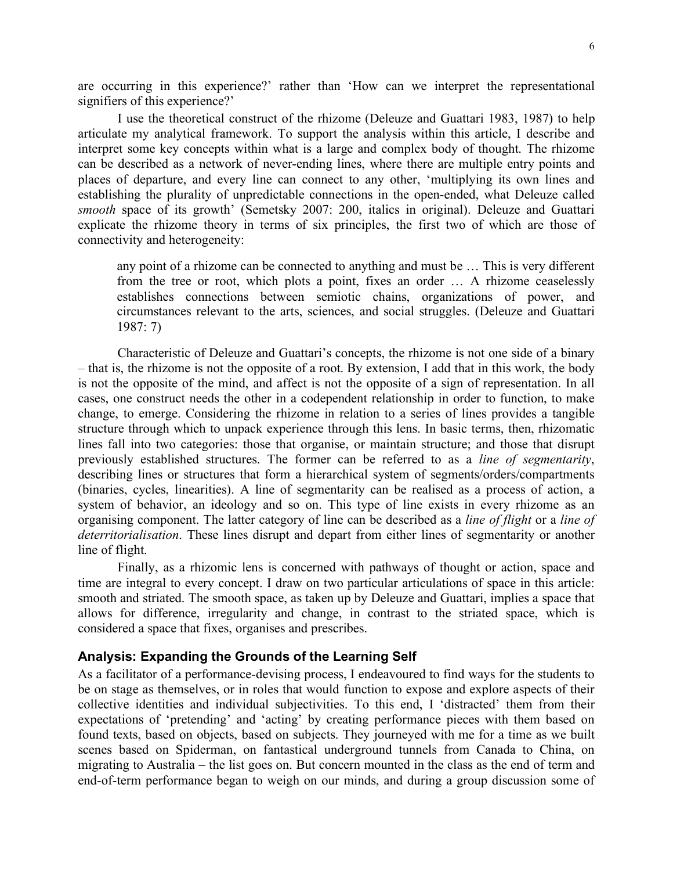are occurring in this experience?' rather than 'How can we interpret the representational signifiers of this experience?'

I use the theoretical construct of the rhizome (Deleuze and Guattari 1983, 1987) to help articulate my analytical framework. To support the analysis within this article, I describe and interpret some key concepts within what is a large and complex body of thought. The rhizome can be described as a network of never-ending lines, where there are multiple entry points and places of departure, and every line can connect to any other, 'multiplying its own lines and establishing the plurality of unpredictable connections in the open-ended, what Deleuze called *smooth* space of its growth' (Semetsky 2007: 200, italics in original). Deleuze and Guattari explicate the rhizome theory in terms of six principles, the first two of which are those of connectivity and heterogeneity:

any point of a rhizome can be connected to anything and must be … This is very different from the tree or root, which plots a point, fixes an order … A rhizome ceaselessly establishes connections between semiotic chains, organizations of power, and circumstances relevant to the arts, sciences, and social struggles. (Deleuze and Guattari 1987: 7)

Characteristic of Deleuze and Guattari's concepts, the rhizome is not one side of a binary – that is, the rhizome is not the opposite of a root. By extension, I add that in this work, the body is not the opposite of the mind, and affect is not the opposite of a sign of representation. In all cases, one construct needs the other in a codependent relationship in order to function, to make change, to emerge. Considering the rhizome in relation to a series of lines provides a tangible structure through which to unpack experience through this lens. In basic terms, then, rhizomatic lines fall into two categories: those that organise, or maintain structure; and those that disrupt previously established structures. The former can be referred to as a *line of segmentarity*, describing lines or structures that form a hierarchical system of segments/orders/compartments (binaries, cycles, linearities). A line of segmentarity can be realised as a process of action, a system of behavior, an ideology and so on. This type of line exists in every rhizome as an organising component. The latter category of line can be described as a *line of flight* or a *line of deterritorialisation*. These lines disrupt and depart from either lines of segmentarity or another line of flight.

Finally, as a rhizomic lens is concerned with pathways of thought or action, space and time are integral to every concept. I draw on two particular articulations of space in this article: smooth and striated. The smooth space, as taken up by Deleuze and Guattari, implies a space that allows for difference, irregularity and change, in contrast to the striated space, which is considered a space that fixes, organises and prescribes.

#### **Analysis: Expanding the Grounds of the Learning Self**

As a facilitator of a performance-devising process, I endeavoured to find ways for the students to be on stage as themselves, or in roles that would function to expose and explore aspects of their collective identities and individual subjectivities. To this end, I 'distracted' them from their expectations of 'pretending' and 'acting' by creating performance pieces with them based on found texts, based on objects, based on subjects. They journeyed with me for a time as we built scenes based on Spiderman, on fantastical underground tunnels from Canada to China, on migrating to Australia – the list goes on. But concern mounted in the class as the end of term and end-of-term performance began to weigh on our minds, and during a group discussion some of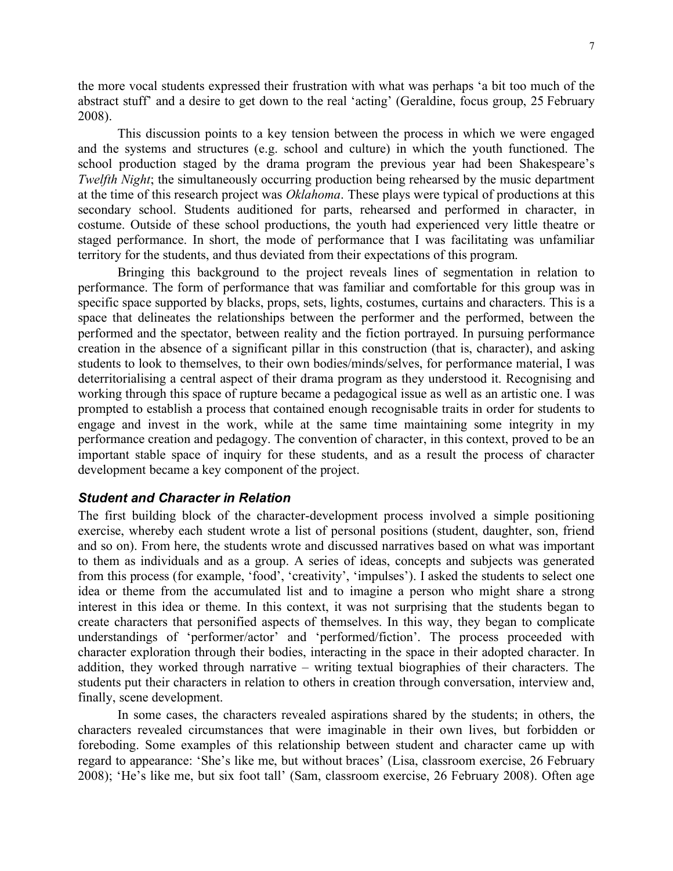the more vocal students expressed their frustration with what was perhaps 'a bit too much of the abstract stuff' and a desire to get down to the real 'acting' (Geraldine, focus group, 25 February 2008).

This discussion points to a key tension between the process in which we were engaged and the systems and structures (e.g. school and culture) in which the youth functioned. The school production staged by the drama program the previous year had been Shakespeare's *Twelfth Night*; the simultaneously occurring production being rehearsed by the music department at the time of this research project was *Oklahoma*. These plays were typical of productions at this secondary school. Students auditioned for parts, rehearsed and performed in character, in costume. Outside of these school productions, the youth had experienced very little theatre or staged performance. In short, the mode of performance that I was facilitating was unfamiliar territory for the students, and thus deviated from their expectations of this program.

Bringing this background to the project reveals lines of segmentation in relation to performance. The form of performance that was familiar and comfortable for this group was in specific space supported by blacks, props, sets, lights, costumes, curtains and characters. This is a space that delineates the relationships between the performer and the performed, between the performed and the spectator, between reality and the fiction portrayed. In pursuing performance creation in the absence of a significant pillar in this construction (that is, character), and asking students to look to themselves, to their own bodies/minds/selves, for performance material, I was deterritorialising a central aspect of their drama program as they understood it. Recognising and working through this space of rupture became a pedagogical issue as well as an artistic one. I was prompted to establish a process that contained enough recognisable traits in order for students to engage and invest in the work, while at the same time maintaining some integrity in my performance creation and pedagogy. The convention of character, in this context, proved to be an important stable space of inquiry for these students, and as a result the process of character development became a key component of the project.

#### *Student and Character in Relation*

The first building block of the character-development process involved a simple positioning exercise, whereby each student wrote a list of personal positions (student, daughter, son, friend and so on). From here, the students wrote and discussed narratives based on what was important to them as individuals and as a group. A series of ideas, concepts and subjects was generated from this process (for example, 'food', 'creativity', 'impulses'). I asked the students to select one idea or theme from the accumulated list and to imagine a person who might share a strong interest in this idea or theme. In this context, it was not surprising that the students began to create characters that personified aspects of themselves. In this way, they began to complicate understandings of 'performer/actor' and 'performed/fiction'. The process proceeded with character exploration through their bodies, interacting in the space in their adopted character. In addition, they worked through narrative – writing textual biographies of their characters. The students put their characters in relation to others in creation through conversation, interview and, finally, scene development.

In some cases, the characters revealed aspirations shared by the students; in others, the characters revealed circumstances that were imaginable in their own lives, but forbidden or foreboding. Some examples of this relationship between student and character came up with regard to appearance: 'She's like me, but without braces' (Lisa, classroom exercise, 26 February 2008); 'He's like me, but six foot tall' (Sam, classroom exercise, 26 February 2008). Often age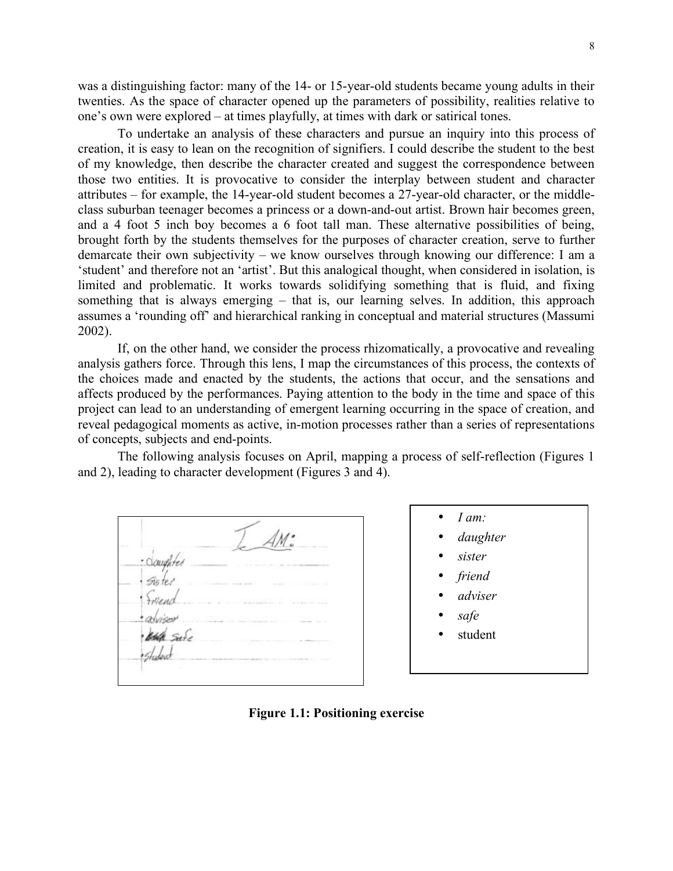was a distinguishing factor: many of the 14- or 15-year-old students became young adults in their twenties. As the space of character opened up the parameters of possibility, realities relative to one's own were explored – at times playfully, at times with dark or satirical tones.

To undertake an analysis of these characters and pursue an inquiry into this process of creation, it is easy to lean on the recognition of signifiers. I could describe the student to the best of my knowledge, then describe the character created and suggest the correspondence between those two entities. It is provocative to consider the interplay between student and character attributes – for example, the 14-year-old student becomes a 27-year-old character, or the middleclass suburban teenager becomes a princess or a down-and-out artist. Brown hair becomes green, and a 4 foot 5 inch boy becomes a 6 foot tall man. These alternative possibilities of being, brought forth by the students themselves for the purposes of character creation, serve to further demarcate their own subjectivity – we know ourselves through knowing our difference: I am a 'student' and therefore not an 'artist'. But this analogical thought, when considered in isolation, is limited and problematic. It works towards solidifying something that is fluid, and fixing something that is always emerging – that is, our learning selves. In addition, this approach assumes a 'rounding off' and hierarchical ranking in conceptual and material structures (Massumi 2002).

If, on the other hand, we consider the process rhizomatically, a provocative and revealing analysis gathers force. Through this lens, I map the circumstances of this process, the contexts of the choices made and enacted by the students, the actions that occur, and the sensations and affects produced by the performances. Paying attention to the body in the time and space of this project can lead to an understanding of emergent learning occurring in the space of creation, and reveal pedagogical moments as active, in-motion processes rather than a series of representations of concepts, subjects and end-points.

The following analysis focuses on April, mapping a process of self-reflection (Figures 1 and 2), leading to character development (Figures 3 and 4).

Occupited Sister

• *I am:*

- *daughter*
- *sister*
- *friend*
- *adviser*
- *safe*
- student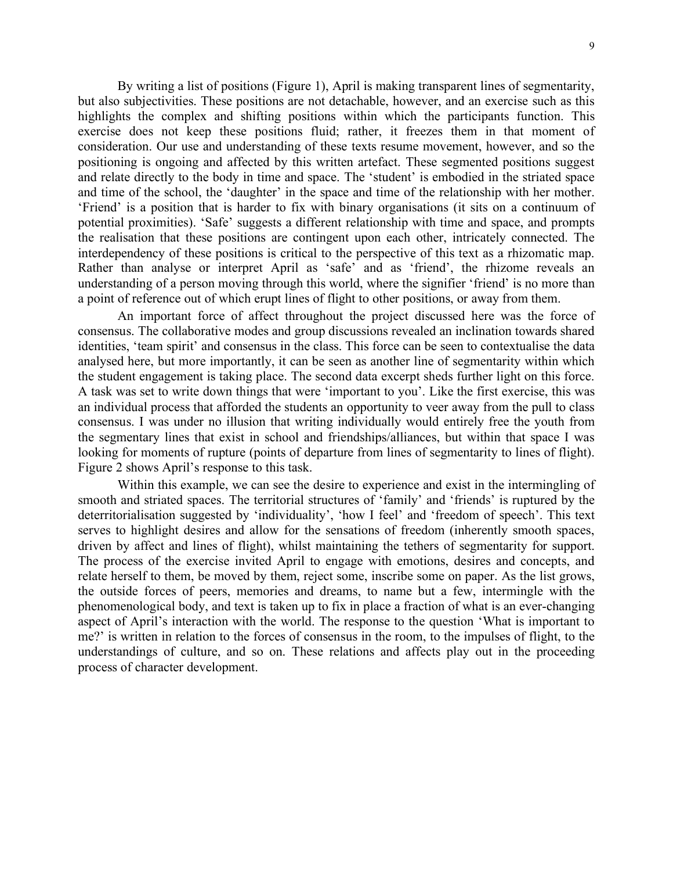By writing a list of positions (Figure 1), April is making transparent lines of segmentarity, but also subjectivities. These positions are not detachable, however, and an exercise such as this highlights the complex and shifting positions within which the participants function. This exercise does not keep these positions fluid; rather, it freezes them in that moment of consideration. Our use and understanding of these texts resume movement, however, and so the positioning is ongoing and affected by this written artefact. These segmented positions suggest and relate directly to the body in time and space. The 'student' is embodied in the striated space and time of the school, the 'daughter' in the space and time of the relationship with her mother. 'Friend' is a position that is harder to fix with binary organisations (it sits on a continuum of potential proximities). 'Safe' suggests a different relationship with time and space, and prompts the realisation that these positions are contingent upon each other, intricately connected. The interdependency of these positions is critical to the perspective of this text as a rhizomatic map. Rather than analyse or interpret April as 'safe' and as 'friend', the rhizome reveals an understanding of a person moving through this world, where the signifier 'friend' is no more than a point of reference out of which erupt lines of flight to other positions, or away from them.

An important force of affect throughout the project discussed here was the force of consensus. The collaborative modes and group discussions revealed an inclination towards shared identities, 'team spirit' and consensus in the class. This force can be seen to contextualise the data analysed here, but more importantly, it can be seen as another line of segmentarity within which the student engagement is taking place. The second data excerpt sheds further light on this force. A task was set to write down things that were 'important to you'. Like the first exercise, this was an individual process that afforded the students an opportunity to veer away from the pull to class consensus. I was under no illusion that writing individually would entirely free the youth from the segmentary lines that exist in school and friendships/alliances, but within that space I was looking for moments of rupture (points of departure from lines of segmentarity to lines of flight). Figure 2 shows April's response to this task.

Within this example, we can see the desire to experience and exist in the intermingling of smooth and striated spaces. The territorial structures of 'family' and 'friends' is ruptured by the deterritorialisation suggested by 'individuality', 'how I feel' and 'freedom of speech'. This text serves to highlight desires and allow for the sensations of freedom (inherently smooth spaces, driven by affect and lines of flight), whilst maintaining the tethers of segmentarity for support. The process of the exercise invited April to engage with emotions, desires and concepts, and relate herself to them, be moved by them, reject some, inscribe some on paper. As the list grows, the outside forces of peers, memories and dreams, to name but a few, intermingle with the phenomenological body, and text is taken up to fix in place a fraction of what is an ever-changing aspect of April's interaction with the world. The response to the question 'What is important to me?' is written in relation to the forces of consensus in the room, to the impulses of flight, to the understandings of culture, and so on. These relations and affects play out in the proceeding process of character development.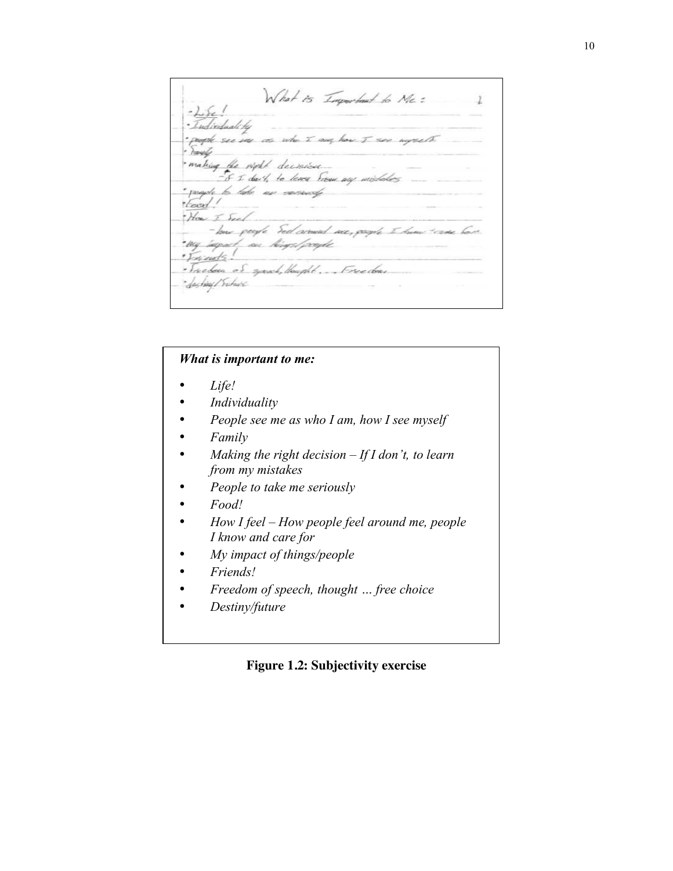What is Important to Me: 1  $-kk$ Individuali ke oph see me as who I am have I see worself making the right decision. - if I don't, to leave From any michakes \* pagete la late use correccip ·Earl! How I Seel - how geogle Seel caround me, grouple to hum traves bare "vy suport, on hings/projek Friends! · Treedom of speak, thought. ... Freedom daghing/Subacc

# *What is important to me:*

- *Life!*
- *Individuality*
- *People see me as who I am, how I see myself*
- *Family*
- *Making the right decision If I don't, to learn from my mistakes*
- *People to take me seriously*
- *Food!*
- *How I feel How people feel around me, people I know and care for*
- *My impact of things/people*
- *Friends!*
- *Freedom of speech, thought … free choice*
- *Destiny/future*

#### **Figure 1.2: Subjectivity exercise**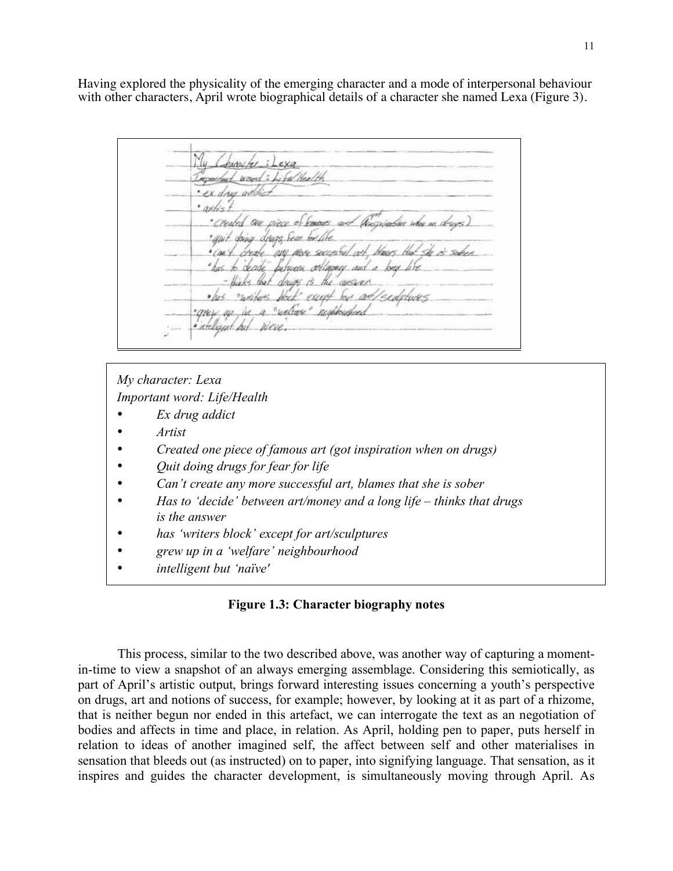Having explored the physicality of the emerging character and a mode of interpersonal behaviour with other characters, April wrote biographical details of a character she named Lexa (Figure 3).

*<u>hanscher: Lexa</u>* educt wavel: Life/Health drug addi "Created are piece of forests and an't drive dreas fear by the no me second or to deade between offworce and a thinks that drugs is the agency raditors that except but got cents a "weltage" resolvation \* OH W steligent hit

*My character: Lexa Important word: Life/Health*

- *Ex drug addict*
- *Artist*
- *Created one piece of famous art (got inspiration when on drugs)*
- *Quit doing drugs for fear for life*
- *Can't create any more successful art, blames that she is sober*
- *Has to 'decide' between art/money and a long life thinks that drugs is the answer*
- *has 'writers block' except for art/sculptures*
- *grew up in a 'welfare' neighbourhood*
- *intelligent but 'naïve'*

#### **Figure 1.3: Character biography notes**

This process, similar to the two described above, was another way of capturing a momentin-time to view a snapshot of an always emerging assemblage. Considering this semiotically, as part of April's artistic output, brings forward interesting issues concerning a youth's perspective on drugs, art and notions of success, for example; however, by looking at it as part of a rhizome, that is neither begun nor ended in this artefact, we can interrogate the text as an negotiation of bodies and affects in time and place, in relation. As April, holding pen to paper, puts herself in relation to ideas of another imagined self, the affect between self and other materialises in sensation that bleeds out (as instructed) on to paper, into signifying language. That sensation, as it inspires and guides the character development, is simultaneously moving through April. As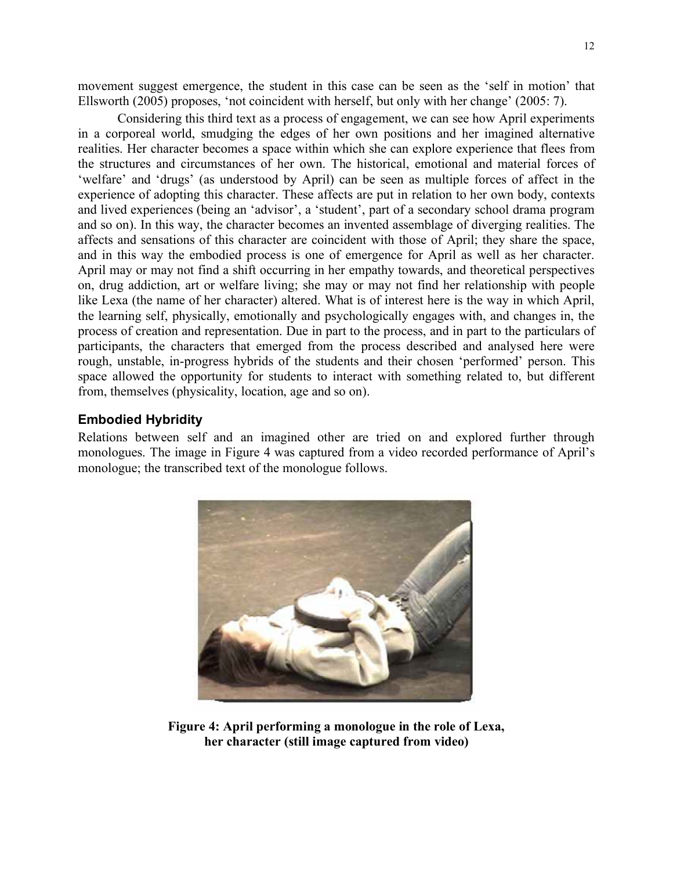movement suggest emergence, the student in this case can be seen as the 'self in motion' that Ellsworth (2005) proposes, 'not coincident with herself, but only with her change' (2005: 7).

Considering this third text as a process of engagement, we can see how April experiments in a corporeal world, smudging the edges of her own positions and her imagined alternative realities. Her character becomes a space within which she can explore experience that flees from the structures and circumstances of her own. The historical, emotional and material forces of 'welfare' and 'drugs' (as understood by April) can be seen as multiple forces of affect in the experience of adopting this character. These affects are put in relation to her own body, contexts and lived experiences (being an 'advisor', a 'student', part of a secondary school drama program and so on). In this way, the character becomes an invented assemblage of diverging realities. The affects and sensations of this character are coincident with those of April; they share the space, and in this way the embodied process is one of emergence for April as well as her character. April may or may not find a shift occurring in her empathy towards, and theoretical perspectives on, drug addiction, art or welfare living; she may or may not find her relationship with people like Lexa (the name of her character) altered. What is of interest here is the way in which April, the learning self, physically, emotionally and psychologically engages with, and changes in, the process of creation and representation. Due in part to the process, and in part to the particulars of participants, the characters that emerged from the process described and analysed here were rough, unstable, in-progress hybrids of the students and their chosen 'performed' person. This space allowed the opportunity for students to interact with something related to, but different from, themselves (physicality, location, age and so on).

### **Embodied Hybridity**

Relations between self and an imagined other are tried on and explored further through monologues. The image in Figure 4 was captured from a video recorded performance of April's monologue; the transcribed text of the monologue follows.



**Figure 4: April performing a monologue in the role of Lexa, her character (still image captured from video)**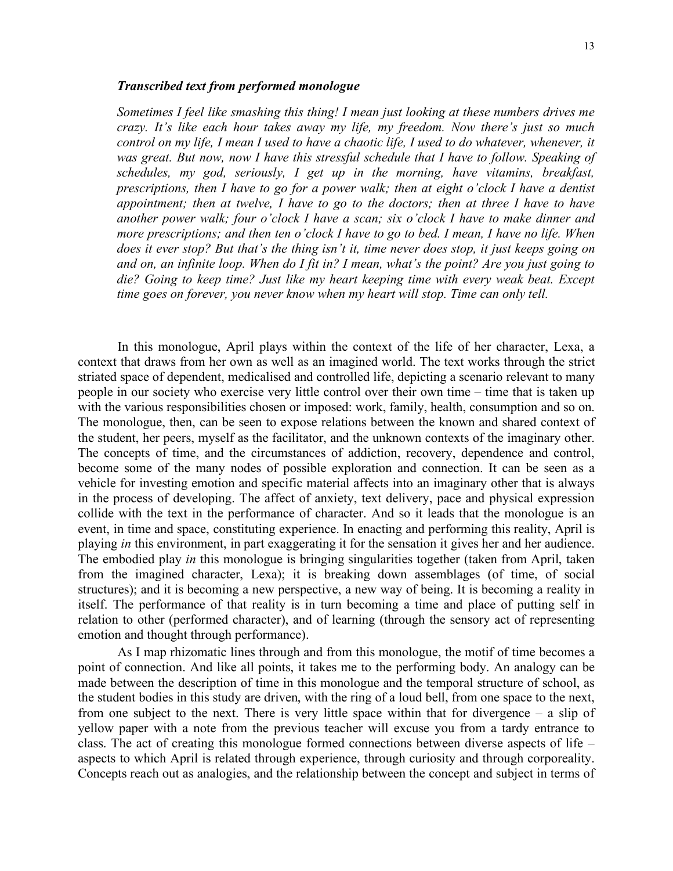#### *Transcribed text from performed monologue*

*Sometimes I feel like smashing this thing! I mean just looking at these numbers drives me crazy. It's like each hour takes away my life, my freedom. Now there's just so much control on my life, I mean I used to have a chaotic life, I used to do whatever, whenever, it*  was great. But now, now I have this stressful schedule that I have to follow. Speaking of *schedules, my god, seriously, I get up in the morning, have vitamins, breakfast, prescriptions, then I have to go for a power walk; then at eight o'clock I have a dentist appointment; then at twelve, I have to go to the doctors; then at three I have to have another power walk; four o'clock I have a scan; six o'clock I have to make dinner and more prescriptions; and then ten o'clock I have to go to bed. I mean, I have no life. When does it ever stop? But that's the thing isn't it, time never does stop, it just keeps going on and on, an infinite loop. When do I fit in? I mean, what's the point? Are you just going to die? Going to keep time? Just like my heart keeping time with every weak beat. Except time goes on forever, you never know when my heart will stop. Time can only tell.* 

In this monologue, April plays within the context of the life of her character, Lexa, a context that draws from her own as well as an imagined world. The text works through the strict striated space of dependent, medicalised and controlled life, depicting a scenario relevant to many people in our society who exercise very little control over their own time – time that is taken up with the various responsibilities chosen or imposed: work, family, health, consumption and so on. The monologue, then, can be seen to expose relations between the known and shared context of the student, her peers, myself as the facilitator, and the unknown contexts of the imaginary other. The concepts of time, and the circumstances of addiction, recovery, dependence and control, become some of the many nodes of possible exploration and connection. It can be seen as a vehicle for investing emotion and specific material affects into an imaginary other that is always in the process of developing. The affect of anxiety, text delivery, pace and physical expression collide with the text in the performance of character. And so it leads that the monologue is an event, in time and space, constituting experience. In enacting and performing this reality, April is playing *in* this environment, in part exaggerating it for the sensation it gives her and her audience. The embodied play *in* this monologue is bringing singularities together (taken from April, taken from the imagined character, Lexa); it is breaking down assemblages (of time, of social structures); and it is becoming a new perspective, a new way of being. It is becoming a reality in itself. The performance of that reality is in turn becoming a time and place of putting self in relation to other (performed character), and of learning (through the sensory act of representing emotion and thought through performance).

As I map rhizomatic lines through and from this monologue, the motif of time becomes a point of connection. And like all points, it takes me to the performing body. An analogy can be made between the description of time in this monologue and the temporal structure of school, as the student bodies in this study are driven, with the ring of a loud bell, from one space to the next, from one subject to the next. There is very little space within that for divergence – a slip of yellow paper with a note from the previous teacher will excuse you from a tardy entrance to class. The act of creating this monologue formed connections between diverse aspects of life – aspects to which April is related through experience, through curiosity and through corporeality. Concepts reach out as analogies, and the relationship between the concept and subject in terms of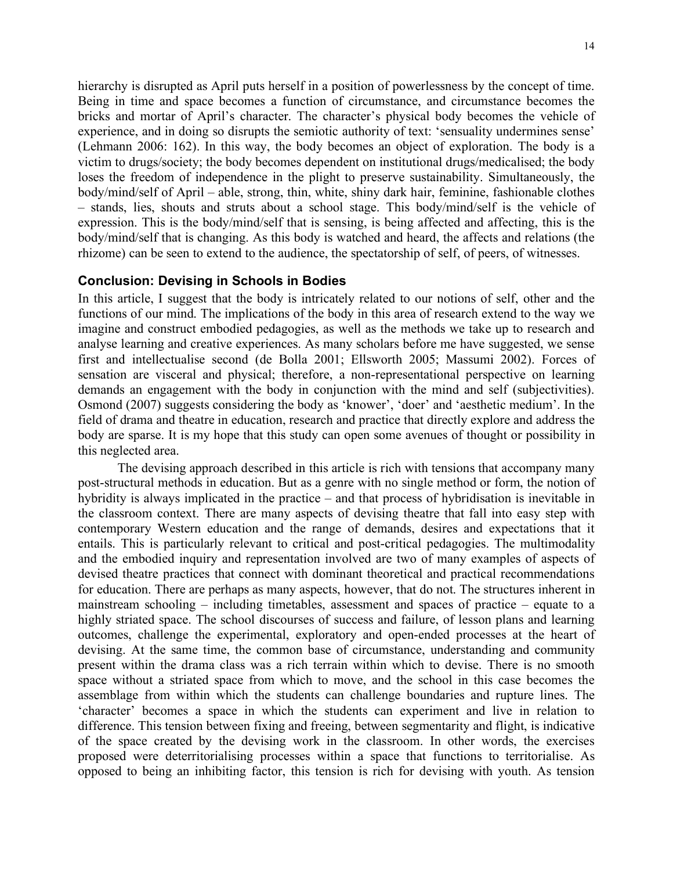hierarchy is disrupted as April puts herself in a position of powerlessness by the concept of time. Being in time and space becomes a function of circumstance, and circumstance becomes the bricks and mortar of April's character. The character's physical body becomes the vehicle of experience, and in doing so disrupts the semiotic authority of text: 'sensuality undermines sense' (Lehmann 2006: 162). In this way, the body becomes an object of exploration. The body is a victim to drugs/society; the body becomes dependent on institutional drugs/medicalised; the body loses the freedom of independence in the plight to preserve sustainability. Simultaneously, the body/mind/self of April – able, strong, thin, white, shiny dark hair, feminine, fashionable clothes – stands, lies, shouts and struts about a school stage. This body/mind/self is the vehicle of expression. This is the body/mind/self that is sensing, is being affected and affecting, this is the body/mind/self that is changing. As this body is watched and heard, the affects and relations (the rhizome) can be seen to extend to the audience, the spectatorship of self, of peers, of witnesses.

#### **Conclusion: Devising in Schools in Bodies**

In this article, I suggest that the body is intricately related to our notions of self, other and the functions of our mind. The implications of the body in this area of research extend to the way we imagine and construct embodied pedagogies, as well as the methods we take up to research and analyse learning and creative experiences. As many scholars before me have suggested, we sense first and intellectualise second (de Bolla 2001; Ellsworth 2005; Massumi 2002). Forces of sensation are visceral and physical; therefore, a non-representational perspective on learning demands an engagement with the body in conjunction with the mind and self (subjectivities). Osmond (2007) suggests considering the body as 'knower', 'doer' and 'aesthetic medium'. In the field of drama and theatre in education, research and practice that directly explore and address the body are sparse. It is my hope that this study can open some avenues of thought or possibility in this neglected area.

The devising approach described in this article is rich with tensions that accompany many post-structural methods in education. But as a genre with no single method or form, the notion of hybridity is always implicated in the practice – and that process of hybridisation is inevitable in the classroom context. There are many aspects of devising theatre that fall into easy step with contemporary Western education and the range of demands, desires and expectations that it entails. This is particularly relevant to critical and post-critical pedagogies. The multimodality and the embodied inquiry and representation involved are two of many examples of aspects of devised theatre practices that connect with dominant theoretical and practical recommendations for education. There are perhaps as many aspects, however, that do not. The structures inherent in mainstream schooling – including timetables, assessment and spaces of practice – equate to a highly striated space. The school discourses of success and failure, of lesson plans and learning outcomes, challenge the experimental, exploratory and open-ended processes at the heart of devising. At the same time, the common base of circumstance, understanding and community present within the drama class was a rich terrain within which to devise. There is no smooth space without a striated space from which to move, and the school in this case becomes the assemblage from within which the students can challenge boundaries and rupture lines. The 'character' becomes a space in which the students can experiment and live in relation to difference. This tension between fixing and freeing, between segmentarity and flight, is indicative of the space created by the devising work in the classroom. In other words, the exercises proposed were deterritorialising processes within a space that functions to territorialise. As opposed to being an inhibiting factor, this tension is rich for devising with youth. As tension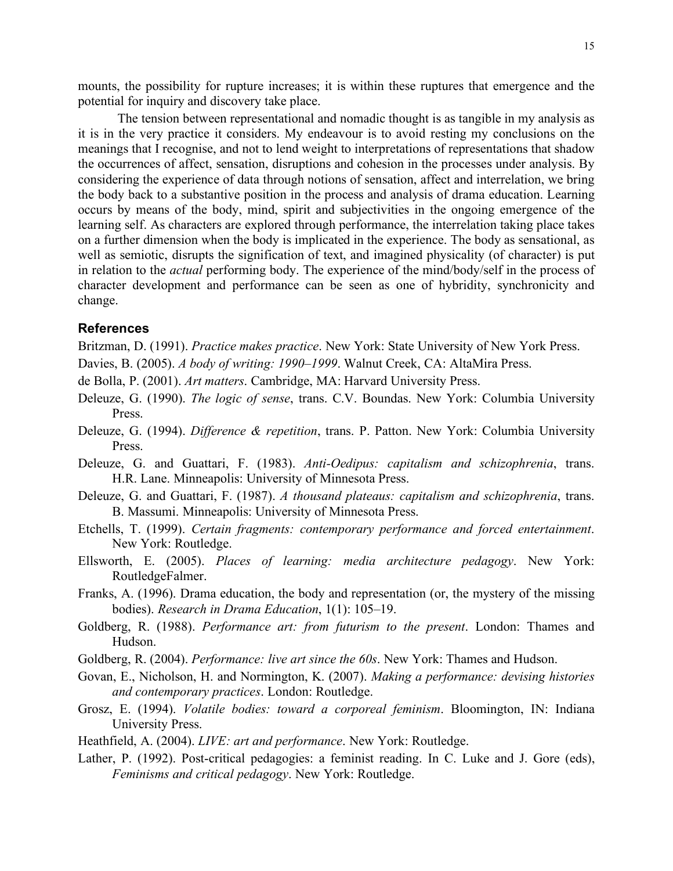mounts, the possibility for rupture increases; it is within these ruptures that emergence and the potential for inquiry and discovery take place.

The tension between representational and nomadic thought is as tangible in my analysis as it is in the very practice it considers. My endeavour is to avoid resting my conclusions on the meanings that I recognise, and not to lend weight to interpretations of representations that shadow the occurrences of affect, sensation, disruptions and cohesion in the processes under analysis. By considering the experience of data through notions of sensation, affect and interrelation, we bring the body back to a substantive position in the process and analysis of drama education. Learning occurs by means of the body, mind, spirit and subjectivities in the ongoing emergence of the learning self. As characters are explored through performance, the interrelation taking place takes on a further dimension when the body is implicated in the experience. The body as sensational, as well as semiotic, disrupts the signification of text, and imagined physicality (of character) is put in relation to the *actual* performing body. The experience of the mind/body/self in the process of character development and performance can be seen as one of hybridity, synchronicity and change.

#### **References**

Britzman, D. (1991). *Practice makes practice*. New York: State University of New York Press.

- Davies, B. (2005). *A body of writing: 1990–1999*. Walnut Creek, CA: AltaMira Press.
- de Bolla, P. (2001). *Art matters*. Cambridge, MA: Harvard University Press.
- Deleuze, G. (1990). *The logic of sense*, trans. C.V. Boundas. New York: Columbia University Press.
- Deleuze, G. (1994). *Difference & repetition*, trans. P. Patton. New York: Columbia University Press.
- Deleuze, G. and Guattari, F. (1983). *Anti-Oedipus: capitalism and schizophrenia*, trans. H.R. Lane. Minneapolis: University of Minnesota Press.
- Deleuze, G. and Guattari, F. (1987). *A thousand plateaus: capitalism and schizophrenia*, trans. B. Massumi. Minneapolis: University of Minnesota Press.
- Etchells, T. (1999). *Certain fragments: contemporary performance and forced entertainment*. New York: Routledge.
- Ellsworth, E. (2005). *Places of learning: media architecture pedagogy*. New York: RoutledgeFalmer.
- Franks, A. (1996). Drama education, the body and representation (or, the mystery of the missing bodies). *Research in Drama Education*, 1(1): 105–19.
- Goldberg, R. (1988). *Performance art: from futurism to the present*. London: Thames and Hudson.
- Goldberg, R. (2004). *Performance: live art since the 60s*. New York: Thames and Hudson.
- Govan, E., Nicholson, H. and Normington, K. (2007). *Making a performance: devising histories and contemporary practices*. London: Routledge.
- Grosz, E. (1994). *Volatile bodies: toward a corporeal feminism*. Bloomington, IN: Indiana University Press.
- Heathfield, A. (2004). *LIVE: art and performance*. New York: Routledge.
- Lather, P. (1992). Post-critical pedagogies: a feminist reading. In C. Luke and J. Gore (eds), *Feminisms and critical pedagogy*. New York: Routledge.